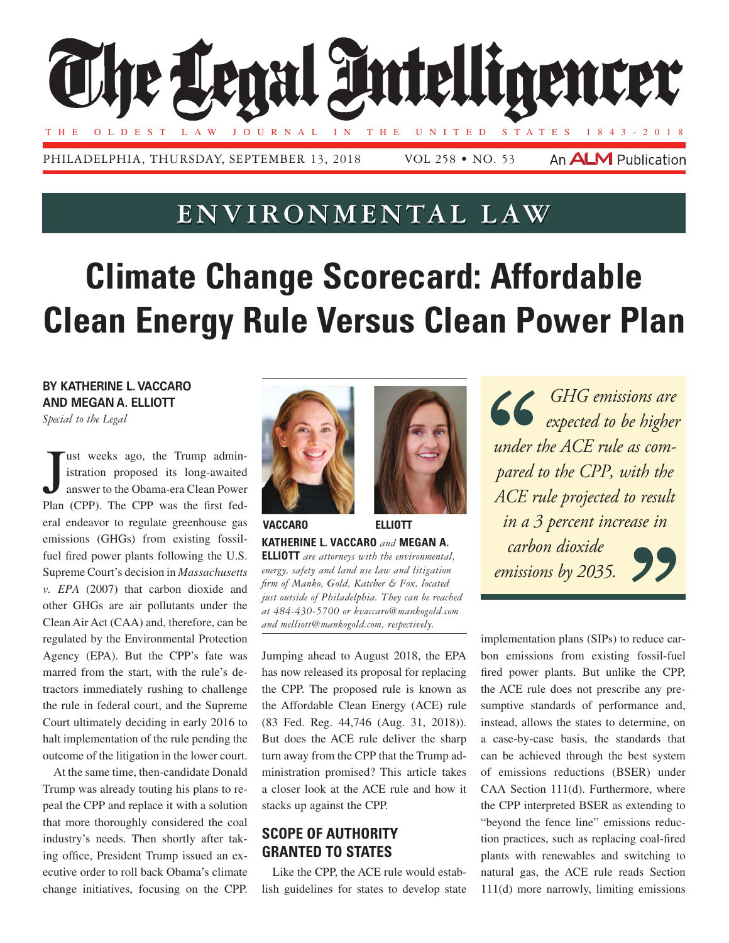

# **Environmental Law**

# **Climate Change Scorecard: Affordable Clean Energy Rule Versus Clean Power Plan**

**By Katherine L. Vaccaro AND Megan A. Elliott** *Special to the Legal*

J<br><sup>Nor</sup> ust weeks ago, the Trump administration proposed its long-awaited answer to the Obama-era Clean Power Plan (CPP). The CPP was the first federal endeavor to regulate greenhouse gas emissions (GHGs) from existing fossilfuel fired power plants following the U.S. Supreme Court's decision in *Massachusetts v. EPA* (2007) that carbon dioxide and other GHGs are air pollutants under the Clean Air Act (CAA) and, therefore, can be regulated by the Environmental Protection Agency (EPA). But the CPP's fate was marred from the start, with the rule's detractors immediately rushing to challenge the rule in federal court, and the Supreme Court ultimately deciding in early 2016 to halt implementation of the rule pending the outcome of the litigation in the lower court.

At the same time, then-candidate Donald Trump was already touting his plans to repeal the CPP and replace it with a solution that more thoroughly considered the coal industry's needs. Then shortly after taking office, President Trump issued an executive order to roll back Obama's climate change initiatives, focusing on the CPP.





**Katherine L. Vaccaro** *and* **Megan A. Elliott** *are attorneys with the environmental, energy, safety and land use law and litigation firm of Manko, Gold, Katcher & Fox, located just outside of Philadelphia. They can be reached at 484-430-5700 or kvaccaro@mankogold.com and melliott@mankogold.com, respectively.* **Vaccaro Elliott**

Jumping ahead to August 2018, the EPA has now released its proposal for replacing the CPP. The proposed rule is known as the Affordable Clean Energy (ACE) rule (83 Fed. Reg. 44,746 (Aug. 31, 2018)). But does the ACE rule deliver the sharp turn away from the CPP that the Trump administration promised? This article takes a closer look at the ACE rule and how it stacks up against the CPP.

## **Scope of Authority Granted to States**

Like the CPP, the ACE rule would establish guidelines for states to develop state

*GHG emissions are expected to be higher under the ACE rule as compared to the CPP, with the ACE rule projected to result in a 3 percent increase in carbon dioxide emissions by 2035.*

implementation plans (SIPs) to reduce carbon emissions from existing fossil-fuel fired power plants. But unlike the CPP, the ACE rule does not prescribe any presumptive standards of performance and, instead, allows the states to determine, on a case-by-case basis, the standards that can be achieved through the best system of emissions reductions (BSER) under CAA Section 111(d). Furthermore, where the CPP interpreted BSER as extending to "beyond the fence line" emissions reduction practices, such as replacing coal-fired plants with renewables and switching to natural gas, the ACE rule reads Section 111(d) more narrowly, limiting emissions